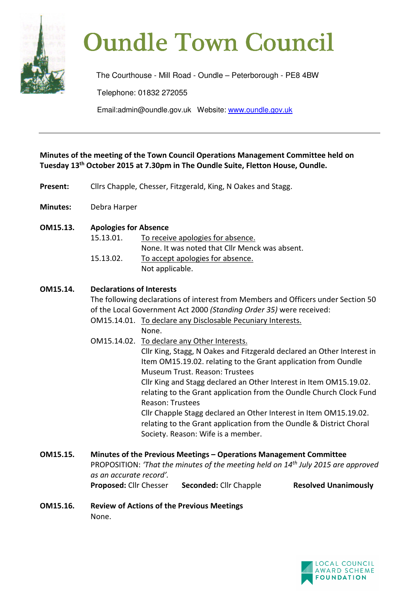

# **Oundle Town Council**

The Courthouse - Mill Road - Oundle – Peterborough - PE8 4BW Telephone: 01832 272055 Email:admin@oundle.gov.uk Website: www.oundle.gov.uk

**Minutes of the meeting of the Town Council Operations Management Committee held on Tuesday 13th October 2015 at 7.30pm in The Oundle Suite, Fletton House, Oundle.** 

- **Present:** Clirs Chapple, Chesser, Fitzgerald, King, N Oakes and Stagg.
- **Minutes:** Debra Harper
- **OM15.13. Apologies for Absence** 15.13.01. To receive apologies for absence. None. It was noted that Cllr Menck was absent. 15.13.02. To accept apologies for absence. Not applicable.

# **OM15.14. Declarations of Interests**

The following declarations of interest from Members and Officers under Section 50 of the Local Government Act 2000 *(Standing Order 35)* were received: OM15.14.01. To declare any Disclosable Pecuniary Interests.

None.

 OM15.14.02. To declare any Other Interests. Cllr King, Stagg, N Oakes and Fitzgerald declared an Other Interest in Item OM15.19.02. relating to the Grant application from Oundle Museum Trust. Reason: Trustees Cllr King and Stagg declared an Other Interest in Item OM15.19.02. relating to the Grant application from the Oundle Church Clock Fund Reason: Trustees Cllr Chapple Stagg declared an Other Interest in Item OM15.19.02. relating to the Grant application from the Oundle & District Choral Society. Reason: Wife is a member.

**OM15.15. Minutes of the Previous Meetings – Operations Management Committee**  PROPOSITION: *'That the minutes of the meeting held on 14th July 2015 are approved as an accurate record'.* **Proposed:** Cllr Chesser **Seconded:** Cllr Chapple **Resolved Unanimously**

**OM15.16. Review of Actions of the Previous Meetings** None.

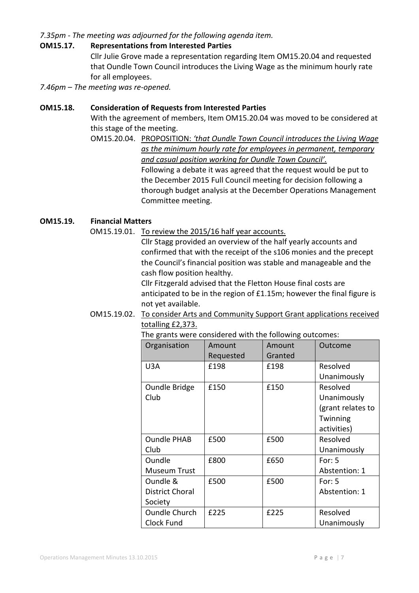## *7.35pm - The meeting was adjourned for the following agenda item.*

#### **OM15.17. Representations from Interested Parties**

Cllr Julie Grove made a representation regarding Item OM15.20.04 and requested that Oundle Town Council introduces the Living Wage as the minimum hourly rate for all employees.

*7.46pm – The meeting was re-opened.* 

## **OM15.18. Consideration of Requests from Interested Parties**

With the agreement of members, Item OM15.20.04 was moved to be considered at this stage of the meeting.

OM15.20.04. PROPOSITION: *'that Oundle Town Council introduces the Living Wage as the minimum hourly rate for employees in permanent, temporary and casual position working for Oundle Town Council'.* Following a debate it was agreed that the request would be put to the December 2015 Full Council meeting for decision following a thorough budget analysis at the December Operations Management Committee meeting.

## **OM15.19. Financial Matters**

OM15.19.01. To review the 2015/16 half year accounts.

 Cllr Stagg provided an overview of the half yearly accounts and confirmed that with the receipt of the s106 monies and the precept the Council's financial position was stable and manageable and the cash flow position healthy.

 Cllr Fitzgerald advised that the Fletton House final costs are anticipated to be in the region of £1.15m; however the final figure is not yet available.

#### OM15.19.02. To consider Arts and Community Support Grant applications received totalling £2,373.

| Organisation           | Amount<br>Requested | Amount<br>Granted | Outcome           |
|------------------------|---------------------|-------------------|-------------------|
| U3A                    | £198                | £198              | Resolved          |
|                        |                     |                   | Unanimously       |
| Oundle Bridge          | £150                | £150              | Resolved          |
| Club                   |                     |                   | Unanimously       |
|                        |                     |                   | (grant relates to |
|                        |                     |                   | Twinning          |
|                        |                     |                   | activities)       |
| <b>Oundle PHAB</b>     | £500                | £500              | Resolved          |
| Club                   |                     |                   | Unanimously       |
| Oundle                 | £800                | £650              | For: $5$          |
| Museum Trust           |                     |                   | Abstention: 1     |
| Oundle &               | £500                | £500              | For: $5$          |
| <b>District Choral</b> |                     |                   | Abstention: 1     |
| Society                |                     |                   |                   |
| <b>Oundle Church</b>   | £225                | £225              | Resolved          |
| Clock Fund             |                     |                   | Unanimously       |

The grants were considered with the following outcomes: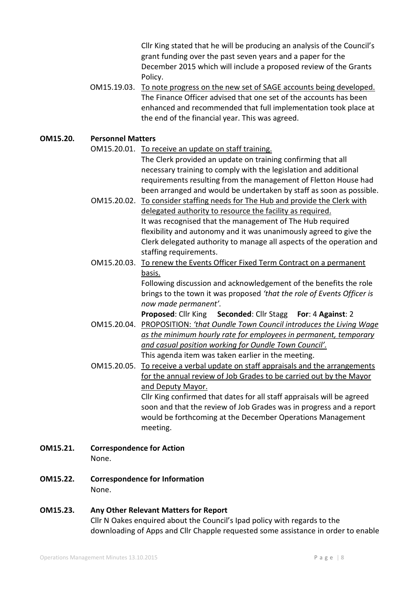Cllr King stated that he will be producing an analysis of the Council's grant funding over the past seven years and a paper for the December 2015 which will include a proposed review of the Grants Policy.

OM15.19.03. To note progress on the new set of SAGE accounts being developed. The Finance Officer advised that one set of the accounts has been enhanced and recommended that full implementation took place at the end of the financial year. This was agreed.

**OM15.20. Personnel Matters** 

OM15.20.01. To receive an update on staff training.

The Clerk provided an update on training confirming that all necessary training to comply with the legislation and additional requirements resulting from the management of Fletton House had been arranged and would be undertaken by staff as soon as possible.

- OM15.20.02. To consider staffing needs for The Hub and provide the Clerk with delegated authority to resource the facility as required. It was recognised that the management of The Hub required flexibility and autonomy and it was unanimously agreed to give the Clerk delegated authority to manage all aspects of the operation and staffing requirements.
- OM15.20.03. To renew the Events Officer Fixed Term Contract on a permanent basis.

 Following discussion and acknowledgement of the benefits the role brings to the town it was proposed *'that the role of Events Officer is now made permanent'.* 

**Proposed**: Cllr King **Seconded**: Cllr Stagg **For**: 4 **Against**: 2

- OM15.20.04. PROPOSITION: *'that Oundle Town Council introduces the Living Wage as the minimum hourly rate for employees in permanent, temporary and casual position working for Oundle Town Council'.*  This agenda item was taken earlier in the meeting.
- OM15.20.05. To receive a verbal update on staff appraisals and the arrangements for the annual review of Job Grades to be carried out by the Mayor and Deputy Mayor. Cllr King confirmed that dates for all staff appraisals will be agreed

soon and that the review of Job Grades was in progress and a report would be forthcoming at the December Operations Management meeting.

- **OM15.21. Correspondence for Action**  None.
- **OM15.22. Correspondence for Information**  None.
- **OM15.23. Any Other Relevant Matters for Report**  Cllr N Oakes enquired about the Council's Ipad policy with regards to the downloading of Apps and Cllr Chapple requested some assistance in order to enable